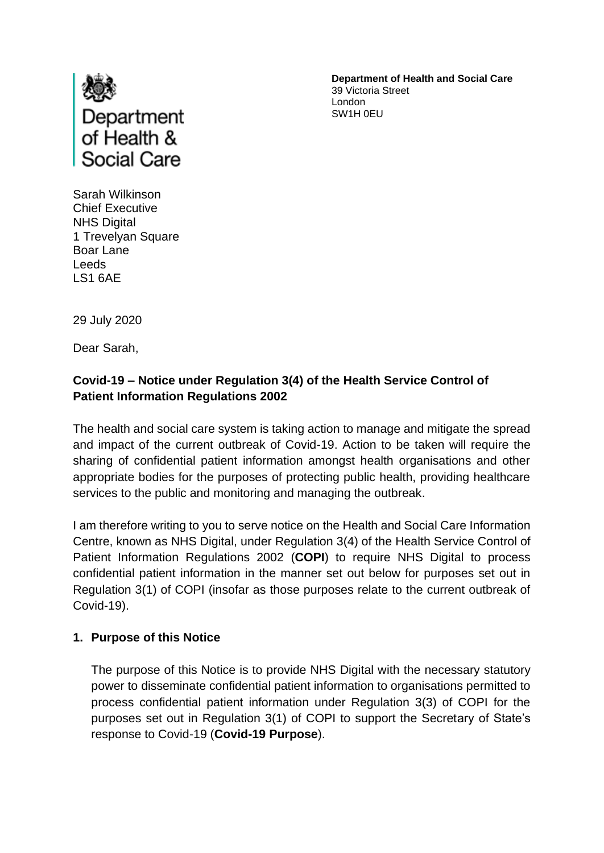

**Department of Health and Social Care** 39 Victoria Street London SW1H 0EU

Sarah Wilkinson Chief Executive NHS Digital 1 Trevelyan Square Boar Lane Leeds LS1 6AE

29 July 2020

Dear Sarah,

# **Covid-19 – Notice under Regulation 3(4) of the Health Service Control of Patient Information Regulations 2002**

The health and social care system is taking action to manage and mitigate the spread and impact of the current outbreak of Covid-19. Action to be taken will require the sharing of confidential patient information amongst health organisations and other appropriate bodies for the purposes of protecting public health, providing healthcare services to the public and monitoring and managing the outbreak.

I am therefore writing to you to serve notice on the Health and Social Care Information Centre, known as NHS Digital, under Regulation 3(4) of the Health Service Control of Patient Information Regulations 2002 (**COPI**) to require NHS Digital to process confidential patient information in the manner set out below for purposes set out in Regulation 3(1) of COPI (insofar as those purposes relate to the current outbreak of Covid-19).

### **1. Purpose of this Notice**

The purpose of this Notice is to provide NHS Digital with the necessary statutory power to disseminate confidential patient information to organisations permitted to process confidential patient information under Regulation 3(3) of COPI for the purposes set out in Regulation 3(1) of COPI to support the Secretary of State's response to Covid-19 (**Covid-19 Purpose**).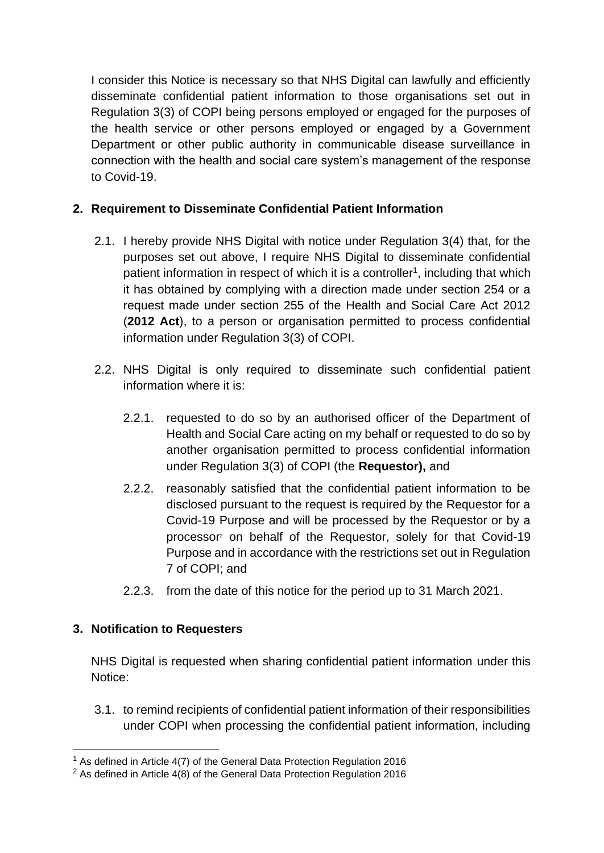I consider this Notice is necessary so that NHS Digital can lawfully and efficiently disseminate confidential patient information to those organisations set out in Regulation 3(3) of COPI being persons employed or engaged for the purposes of the health service or other persons employed or engaged by a Government Department or other public authority in communicable disease surveillance in connection with the health and social care system's management of the response to Covid-19.

## **2. Requirement to Disseminate Confidential Patient Information**

- 2.1. I hereby provide NHS Digital with notice under Regulation 3(4) that, for the purposes set out above, I require NHS Digital to disseminate confidential patient information in respect of which it is a controller<sup>1</sup>, including that which it has obtained by complying with a direction made under section 254 or a request made under section 255 of the Health and Social Care Act 2012 (**2012 Act**), to a person or organisation permitted to process confidential information under Regulation 3(3) of COPI.
- 2.2. NHS Digital is only required to disseminate such confidential patient information where it is:
	- 2.2.1. requested to do so by an authorised officer of the Department of Health and Social Care acting on my behalf or requested to do so by another organisation permitted to process confidential information under Regulation 3(3) of COPI (the **Requestor),** and
	- 2.2.2. reasonably satisfied that the confidential patient information to be disclosed pursuant to the request is required by the Requestor for a Covid-19 Purpose and will be processed by the Requestor or by a processor<sup>2</sup> on behalf of the Requestor, solely for that Covid-19 Purpose and in accordance with the restrictions set out in Regulation 7 of COPI; and
	- 2.2.3. from the date of this notice for the period up to 31 March 2021.

### **3. Notification to Requesters**

NHS Digital is requested when sharing confidential patient information under this Notice:

3.1. to remind recipients of confidential patient information of their responsibilities under COPI when processing the confidential patient information, including

<sup>&</sup>lt;sup>1</sup> As defined in Article 4(7) of the General Data Protection Regulation 2016

 $2$  As defined in Article 4(8) of the General Data Protection Regulation 2016